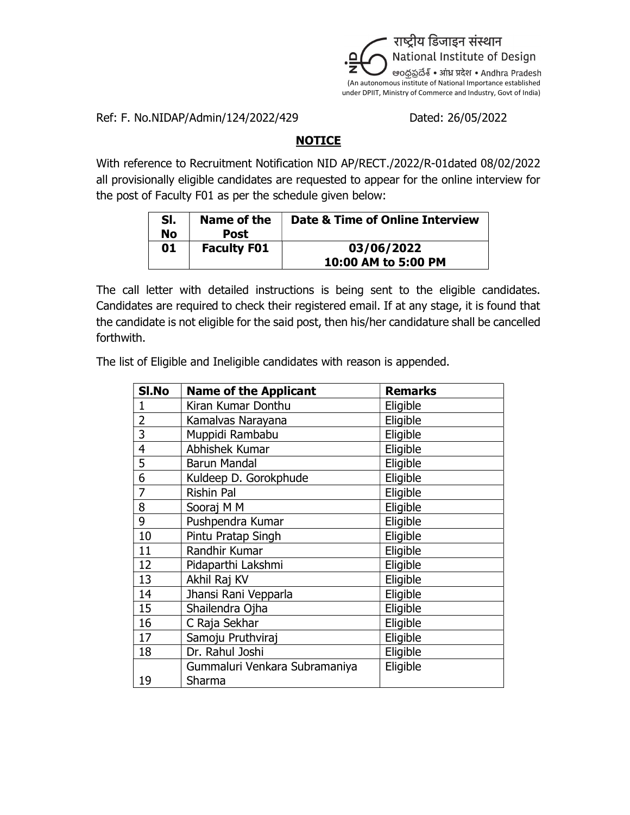

## Ref: F. No.NIDAP/Admin/124/2022/429 Dated: 26/05/2022

## **NOTICE**

With reference to Recruitment Notification NID AP/RECT./2022/R-01dated 08/02/2022 all provisionally eligible candidates are requested to appear for the online interview for the post of Faculty F01 as per the schedule given below:

| SI.<br>No | Name of the<br><b>Post</b> | Date & Time of Online Interview   |
|-----------|----------------------------|-----------------------------------|
| 01        | <b>Faculty F01</b>         | 03/06/2022<br>10:00 AM to 5:00 PM |

The call letter with detailed instructions is being sent to the eligible candidates. Candidates are required to check their registered email. If at any stage, it is found that the candidate is not eligible for the said post, then his/her candidature shall be cancelled forthwith.

The list of Eligible and Ineligible candidates with reason is appended.

| SI.No          | <b>Name of the Applicant</b>  | <b>Remarks</b> |
|----------------|-------------------------------|----------------|
| 1              | Kiran Kumar Donthu            | Eligible       |
| $\overline{2}$ | Kamalvas Narayana             | Eligible       |
| 3              | Muppidi Rambabu               | Eligible       |
| 4              | Abhishek Kumar                | Eligible       |
| 5              | <b>Barun Mandal</b>           | Eligible       |
| 6              | Kuldeep D. Gorokphude         | Eligible       |
| 7              | <b>Rishin Pal</b>             | Eligible       |
| 8              | Sooraj M M                    | Eligible       |
| 9              | Pushpendra Kumar              | Eligible       |
| 10             | Pintu Pratap Singh            | Eligible       |
| 11             | Randhir Kumar                 | Eligible       |
| 12             | Pidaparthi Lakshmi            | Eligible       |
| 13             | Akhil Raj KV                  | Eligible       |
| 14             | Jhansi Rani Vepparla          | Eligible       |
| 15             | Shailendra Ojha               | Eligible       |
| 16             | C Raja Sekhar                 | Eligible       |
| 17             | Samoju Pruthviraj             | Eligible       |
| 18             | Dr. Rahul Joshi<br>Eligible   |                |
|                | Gummaluri Venkara Subramaniya | Eligible       |
| 19<br>Sharma   |                               |                |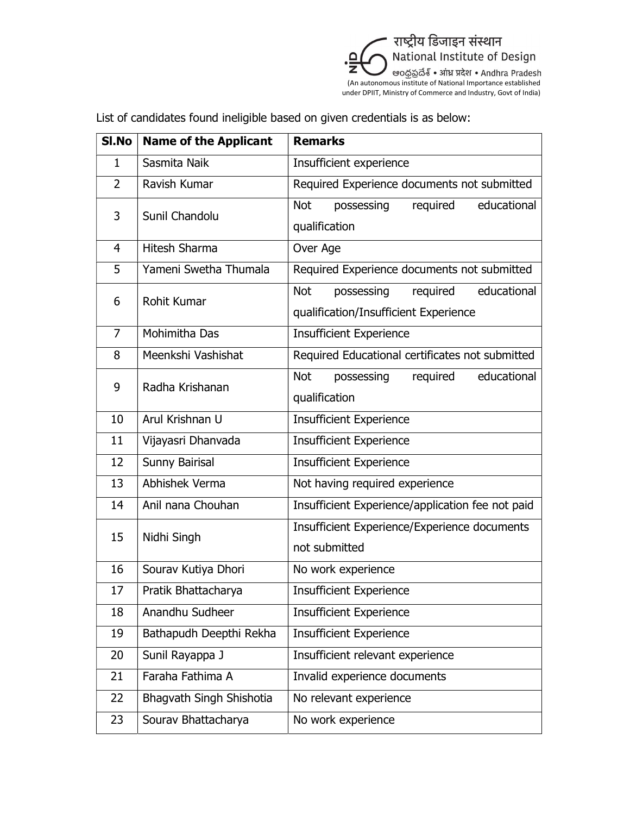

| SI.No          | <b>Name of the Applicant</b> | <b>Remarks</b>                                      |  |
|----------------|------------------------------|-----------------------------------------------------|--|
| 1              | Sasmita Naik                 | Insufficient experience                             |  |
| $\overline{2}$ | Ravish Kumar                 | Required Experience documents not submitted         |  |
| 3              | Sunil Chandolu               | <b>Not</b><br>possessing<br>required<br>educational |  |
|                |                              | qualification                                       |  |
| 4              | <b>Hitesh Sharma</b>         | Over Age                                            |  |
| 5              | Yameni Swetha Thumala        | Required Experience documents not submitted         |  |
| 6              | <b>Rohit Kumar</b>           | educational<br><b>Not</b><br>possessing<br>required |  |
|                |                              | qualification/Insufficient Experience               |  |
| $\overline{7}$ | Mohimitha Das                | <b>Insufficient Experience</b>                      |  |
| 8              | Meenkshi Vashishat           | Required Educational certificates not submitted     |  |
| 9              | Radha Krishanan              | educational<br><b>Not</b><br>required<br>possessing |  |
|                |                              | qualification                                       |  |
| 10             | Arul Krishnan U              | <b>Insufficient Experience</b>                      |  |
| 11             | Vijayasri Dhanvada           | <b>Insufficient Experience</b>                      |  |
| 12             | Sunny Bairisal               | <b>Insufficient Experience</b>                      |  |
| 13             | Abhishek Verma               | Not having required experience                      |  |
| 14             | Anil nana Chouhan            | Insufficient Experience/application fee not paid    |  |
| 15             | Nidhi Singh                  | Insufficient Experience/Experience documents        |  |
|                |                              | not submitted                                       |  |
| 16             | Sourav Kutiya Dhori          | No work experience                                  |  |
| 17             | Pratik Bhattacharya          | Insufficient Experience                             |  |
| 18             | Anandhu Sudheer              | <b>Insufficient Experience</b>                      |  |
| 19             | Bathapudh Deepthi Rekha      | <b>Insufficient Experience</b>                      |  |
| 20             | Sunil Rayappa J              | Insufficient relevant experience                    |  |
| 21             | Faraha Fathima A             | Invalid experience documents                        |  |
| 22             | Bhagvath Singh Shishotia     | No relevant experience                              |  |
| 23             | Sourav Bhattacharya          | No work experience                                  |  |

List of candidates found ineligible based on given credentials is as below: